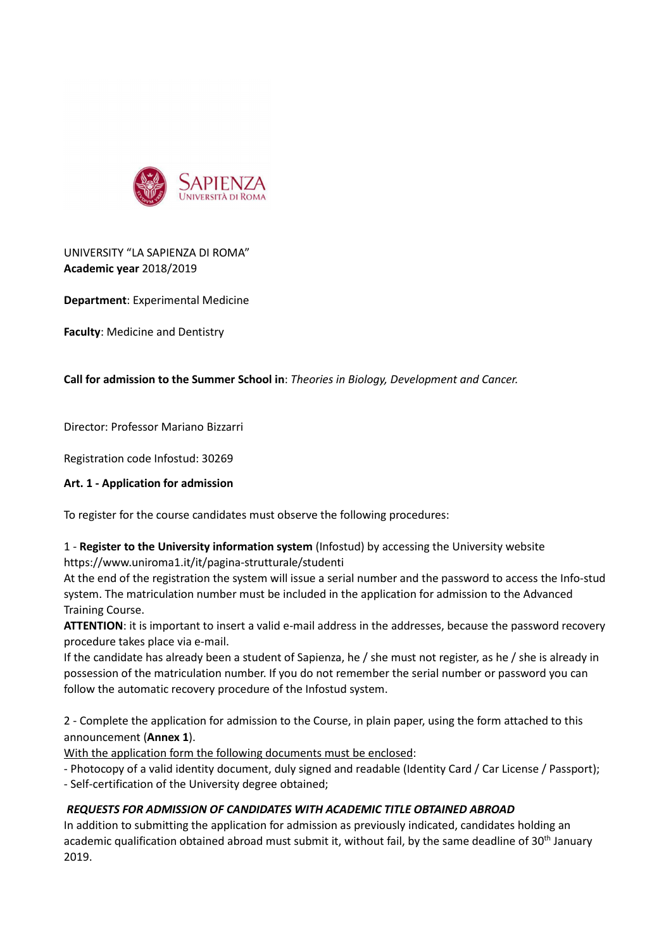

# UNIVERSITY "LA SAPIENZA DI ROMA" **Academic year** 2018/2019

**Department**: Experimental Medicine

**Faculty**: Medicine and Dentistry

### **Call for admission to the Summer School in**: *Theories in Biology, Development and Cancer.*

Director: Professor Mariano Bizzarri

Registration code Infostud: 30269

#### **Art. 1 - Application for admission**

To register for the course candidates must observe the following procedures:

## 1 - **Register to the University information system** (Infostud) by accessing the University website https://www.uniroma1.it/it/pagina-strutturale/studenti

At the end of the registration the system will issue a serial number and the password to access the Info-stud system. The matriculation number must be included in the application for admission to the Advanced Training Course.

ATTENTION: it is important to insert a valid e-mail address in the addresses, because the password recovery procedure takes place via e-mail.

If the candidate has already been a student of Sapienza, he / she must not register, as he / she is already in possession of the matriculation number. If you do not remember the serial number or password you can follow the automatic recovery procedure of the Infostud system.

2 - Complete the application for admission to the Course, in plain paper, using the form attached to this announcement (**Annex 1**).

With the application form the following documents must be enclosed:

- Photocopy of a valid identity document, duly signed and readable (Identity Card / Car License / Passport);

- Self-certification of the University degree obtained;

## *REQUESTS FOR ADMISSION OF CANDIDATES WITH ACADEMIC TITLE OBTAINED ABROAD*

In addition to submitting the application for admission as previously indicated, candidates holding an academic qualification obtained abroad must submit it, without fail, by the same deadline of 30<sup>th</sup> January 2019.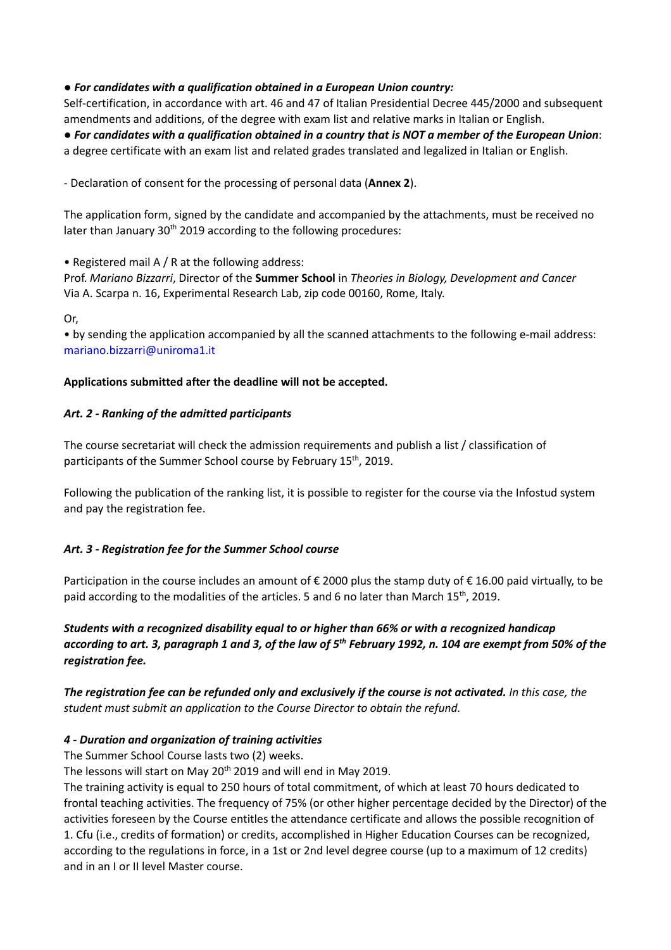## ● *For candidates with a qualification obtained in a European Union country:*

Self-certification, in accordance with art. 46 and 47 of Italian Presidential Decree 445/2000 and subsequent amendments and additions, of the degree with exam list and relative marks in Italian or English.

● *For candidates with a qualification obtained in a country that is NOT a member of the European Union*: a degree certificate with an exam list and related grades translated and legalized in Italian or English.

- Declaration of consent for the processing of personal data (**Annex 2**).

The application form, signed by the candidate and accompanied by the attachments, must be received no later than January 30<sup>th</sup> 2019 according to the following procedures:

• Registered mail A / R at the following address:

Prof. *Mariano Bizzarri*, Director of the **Summer School** in *Theories in Biology, Development and Cancer* Via A. Scarpa n. 16, Experimental Research Lab, zip code 00160, Rome, Italy.

Or,

• by sending the application accompanied by all the scanned attachments to the following e-mail address: mariano.bizzarri@uniroma1.it

### **Applications submitted after the deadline will not be accepted.**

### *Art. 2 - Ranking of the admitted participants*

The course secretariat will check the admission requirements and publish a list / classification of participants of the Summer School course by February 15<sup>th</sup>, 2019.

Following the publication of the ranking list, it is possible to register for the course via the Infostud system and pay the registration fee.

#### *Art. 3 - Registration fee for the Summer School course*

Participation in the course includes an amount of € 2000 plus the stamp duty of € 16.00 paid virtually, to be paid according to the modalities of the articles. 5 and 6 no later than March  $15<sup>th</sup>$ , 2019.

*Students with a recognized disability equal to or higher than 66% or with a recognized handicap according to art. 3, paragraph 1 and 3, of the law of 5th February 1992, n. 104 are exempt from 50% of the registration fee.*

*The registration fee can be refunded only and exclusively if the course is not activated. In this case, the student must submit an application to the Course Director to obtain the refund.*

#### *4 - Duration and organization of training activities*

The Summer School Course lasts two (2) weeks.

The lessons will start on May 20<sup>th</sup> 2019 and will end in May 2019.

The training activity is equal to 250 hours of total commitment, of which at least 70 hours dedicated to frontal teaching activities. The frequency of 75% (or other higher percentage decided by the Director) of the activities foreseen by the Course entitles the attendance certificate and allows the possible recognition of 1. Cfu (i.e., credits of formation) or credits, accomplished in Higher Education Courses can be recognized, according to the regulations in force, in a 1st or 2nd level degree course (up to a maximum of 12 credits) and in an I or II level Master course.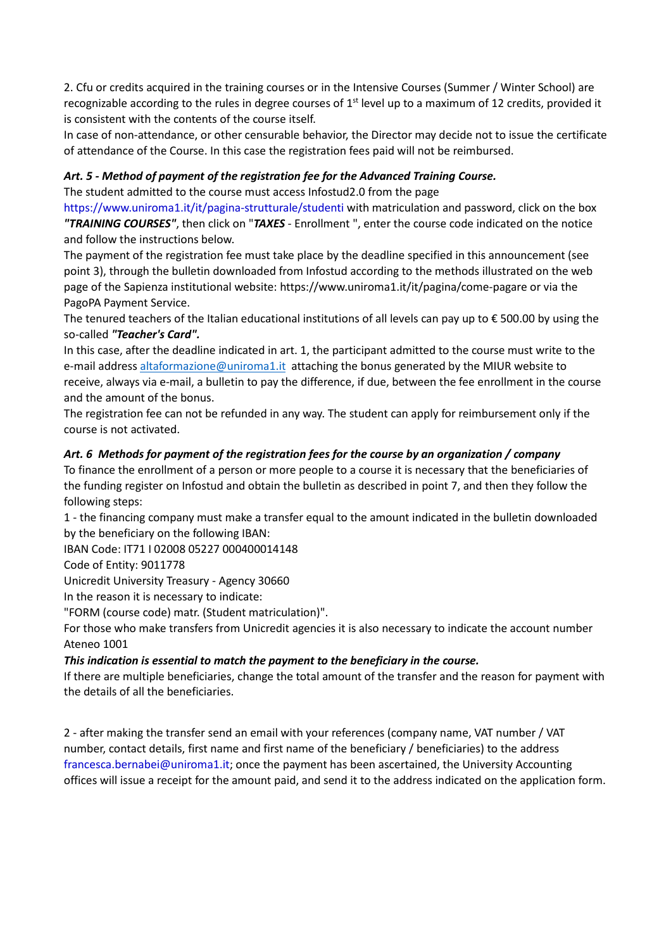2. Cfu or credits acquired in the training courses or in the Intensive Courses (Summer / Winter School) are recognizable according to the rules in degree courses of  $1<sup>st</sup>$  level up to a maximum of 12 credits, provided it is consistent with the contents of the course itself.

In case of non-attendance, or other censurable behavior, the Director may decide not to issue the certificate of attendance of the Course. In this case the registration fees paid will not be reimbursed.

# *Art. 5 - Method of payment of the registration fee for the Advanced Training Course.*

The student admitted to the course must access Infostud2.0 from the page

https://www.uniroma1.it/it/pagina-strutturale/studenti with matriculation and password, click on the box *"TRAINING COURSES"*, then click on "*TAXES* - Enrollment ", enter the course code indicated on the notice and follow the instructions below.

The payment of the registration fee must take place by the deadline specified in this announcement (see point 3), through the bulletin downloaded from Infostud according to the methods illustrated on the web page of the Sapienza institutional website: https://www.uniroma1.it/it/pagina/come-pagare or via the PagoPA Payment Service.

The tenured teachers of the Italian educational institutions of all levels can pay up to  $\epsilon$  500.00 by using the so-called *"Teacher's Card".*

In this case, after the deadline indicated in art. 1, the participant admitted to the course must write to the e-mail address altaformazione@uniroma1.it attaching the bonus generated by the MIUR website to receive, always via e-mail, a bulletin to pay the difference, if due, between the fee enrollment in the course and the amount of the bonus.

The registration fee can not be refunded in any way. The student can apply for reimbursement only if the course is not activated.

# *Art. 6 Methods for payment of the registration fees for the course by an organization / company*

To finance the enrollment of a person or more people to a course it is necessary that the beneficiaries of the funding register on Infostud and obtain the bulletin as described in point 7, and then they follow the following steps:

1 - the financing company must make a transfer equal to the amount indicated in the bulletin downloaded by the beneficiary on the following IBAN:

IBAN Code: IT71 I 02008 05227 000400014148

Code of Entity: 9011778

Unicredit University Treasury - Agency 30660

In the reason it is necessary to indicate:

"FORM (course code) matr. (Student matriculation)".

For those who make transfers from Unicredit agencies it is also necessary to indicate the account number Ateneo 1001

# *This indication is essential to match the payment to the beneficiary in the course.*

If there are multiple beneficiaries, change the total amount of the transfer and the reason for payment with the details of all the beneficiaries.

2 - after making the transfer send an email with your references (company name, VAT number / VAT number, contact details, first name and first name of the beneficiary / beneficiaries) to the address francesca.bernabei@uniroma1.it; once the payment has been ascertained, the University Accounting offices will issue a receipt for the amount paid, and send it to the address indicated on the application form.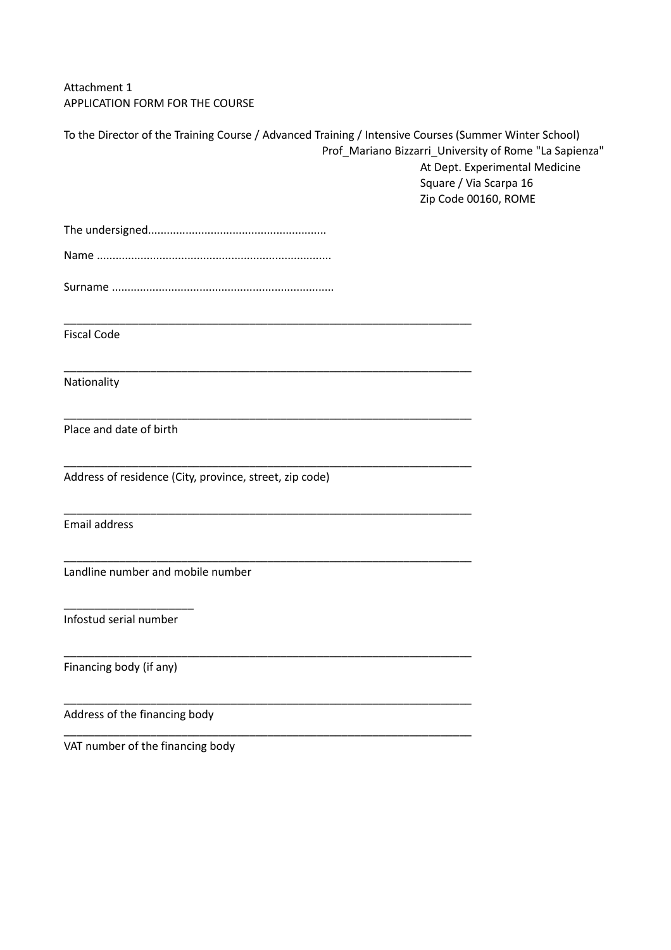Attachment 1 APPLICATION FORM FOR THE COURSE

| To the Director of the Training Course / Advanced Training / Intensive Courses (Summer Winter School)<br>Prof_Mariano Bizzarri_University of Rome "La Sapienza" |                                |
|-----------------------------------------------------------------------------------------------------------------------------------------------------------------|--------------------------------|
|                                                                                                                                                                 | At Dept. Experimental Medicine |
|                                                                                                                                                                 | Square / Via Scarpa 16         |
|                                                                                                                                                                 | Zip Code 00160, ROME           |
|                                                                                                                                                                 |                                |
|                                                                                                                                                                 |                                |
|                                                                                                                                                                 |                                |
|                                                                                                                                                                 |                                |
|                                                                                                                                                                 |                                |
| <b>Fiscal Code</b>                                                                                                                                              |                                |
| Nationality                                                                                                                                                     |                                |
| Place and date of birth                                                                                                                                         |                                |
| Address of residence (City, province, street, zip code)                                                                                                         |                                |
| Email address                                                                                                                                                   |                                |
| Landline number and mobile number                                                                                                                               |                                |
| Infostud serial number                                                                                                                                          |                                |
| Financing body (if any)                                                                                                                                         |                                |
| Address of the financing body                                                                                                                                   |                                |

VAT number of the financing body

\_\_\_\_\_\_\_\_\_\_\_\_\_\_\_\_\_\_\_\_\_\_\_\_\_\_\_\_\_\_\_\_\_\_\_\_\_\_\_\_\_\_\_\_\_\_\_\_\_\_\_\_\_\_\_\_\_\_\_\_\_\_\_\_\_\_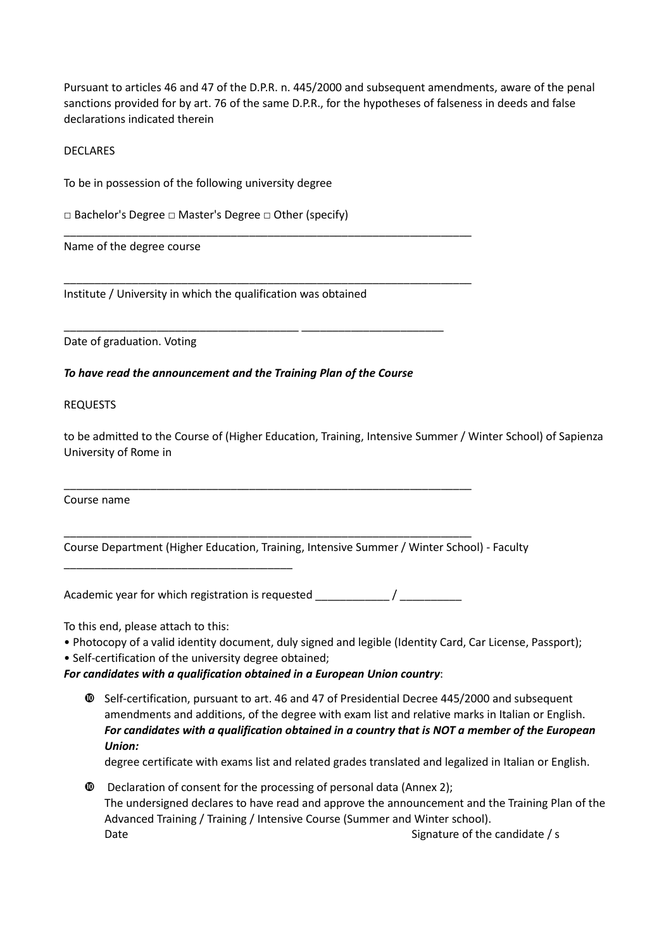Pursuant to articles 46 and 47 of the D.P.R. n. 445/2000 and subsequent amendments, aware of the penal sanctions provided for by art. 76 of the same D.P.R., for the hypotheses of falseness in deeds and false declarations indicated therein

**DECLARES** 

To be in possession of the following university degree

□ Bachelor's Degree □ Master's Degree □ Other (specify)

Name of the degree course

Institute / University in which the qualification was obtained

Date of graduation. Voting

*To have read the announcement and the Training Plan of the Course*

\_\_\_\_\_\_\_\_\_\_\_\_\_\_\_\_\_\_\_\_\_\_\_\_\_\_\_\_\_\_\_\_\_\_\_\_\_\_\_\_\_\_\_\_\_\_\_\_\_\_\_\_\_\_\_\_\_\_\_\_\_\_\_\_\_\_

\_\_\_\_\_\_\_\_\_\_\_\_\_\_\_\_\_\_\_\_\_\_\_\_\_\_\_\_\_\_\_\_\_\_\_\_\_\_\_\_\_\_\_\_\_\_\_\_\_\_\_\_\_\_\_\_\_\_\_\_\_\_\_\_\_\_

\_\_\_\_\_\_\_\_\_\_\_\_\_\_\_\_\_\_\_\_\_\_\_\_\_\_\_\_\_\_\_\_\_\_\_\_\_\_ \_\_\_\_\_\_\_\_\_\_\_\_\_\_\_\_\_\_\_\_\_\_\_

REQUESTS

to be admitted to the Course of (Higher Education, Training, Intensive Summer / Winter School) of Sapienza University of Rome in

Course name

Course Department (Higher Education, Training, Intensive Summer / Winter School) - Faculty

Academic year for which registration is requested  $\overline{\phantom{a}}$  /

\_\_\_\_\_\_\_\_\_\_\_\_\_\_\_\_\_\_\_\_\_\_\_\_\_\_\_\_\_\_\_\_\_\_\_\_\_\_\_\_\_\_\_\_\_\_\_\_\_\_\_\_\_\_\_\_\_\_\_\_\_\_\_\_\_\_

\_\_\_\_\_\_\_\_\_\_\_\_\_\_\_\_\_\_\_\_\_\_\_\_\_\_\_\_\_\_\_\_\_\_\_\_\_\_\_\_\_\_\_\_\_\_\_\_\_\_\_\_\_\_\_\_\_\_\_\_\_\_\_\_\_\_

To this end, please attach to this:

- Photocopy of a valid identity document, duly signed and legible (Identity Card, Car License, Passport);
- Self-certification of the university degree obtained;

\_\_\_\_\_\_\_\_\_\_\_\_\_\_\_\_\_\_\_\_\_\_\_\_\_\_\_\_\_\_\_\_\_\_\_\_\_

## *For candidates with a qualification obtained in a European Union country*:

 Self-certification, pursuant to art. 46 and 47 of Presidential Decree 445/2000 and subsequent amendments and additions, of the degree with exam list and relative marks in Italian or English. *For candidates with a qualification obtained in a country that is NOT a member of the European Union:*

degree certificate with exams list and related grades translated and legalized in Italian or English.

 Declaration of consent for the processing of personal data (Annex 2); The undersigned declares to have read and approve the announcement and the Training Plan of the Advanced Training / Training / Intensive Course (Summer and Winter school). Date **Signature of the candidate / s** Signature of the candidate / s